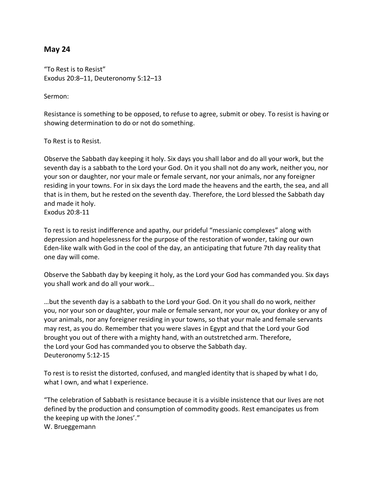## **May 24**

"To Rest is to Resist" Exodus 20:8–11, Deuteronomy 5:12–13

Sermon:

Resistance is something to be opposed, to refuse to agree, submit or obey. To resist is having or showing determination to do or not do something.

To Rest is to Resist.

Observe the Sabbath day keeping it holy. Six days you shall labor and do all your work, but the seventh day is a sabbath to the Lord your God. On it you shall not do any work, neither you, nor your son or daughter, nor your male or female servant, nor your animals, nor any foreigner residing in your towns. For in six days the Lord made the heavens and the earth, the sea, and all that is in them, but he rested on the seventh day. Therefore, the Lord blessed the Sabbath day and made it holy. Exodus 20:8-11

To rest is to resist indifference and apathy, our prideful "messianic complexes" along with depression and hopelessness for the purpose of the restoration of wonder, taking our own Eden-like walk with God in the cool of the day, an anticipating that future 7th day reality that one day will come.

Observe the Sabbath day by keeping it holy, as the Lord your God has commanded you. Six days you shall work and do all your work…

…but the seventh day is a sabbath to the Lord your God. On it you shall do no work, neither you, nor your son or daughter, your male or female servant, nor your ox, your donkey or any of your animals, nor any foreigner residing in your towns, so that your male and female servants may rest, as you do. Remember that you were slaves in Egypt and that the Lord your God brought you out of there with a mighty hand, with an outstretched arm. Therefore, the Lord your God has commanded you to observe the Sabbath day. Deuteronomy 5:12-15

To rest is to resist the distorted, confused, and mangled identity that is shaped by what I do, what I own, and what I experience.

"The celebration of Sabbath is resistance because it is a visible insistence that our lives are not defined by the production and consumption of commodity goods. Rest emancipates us from the keeping up with the Jones'."

W. Brueggemann